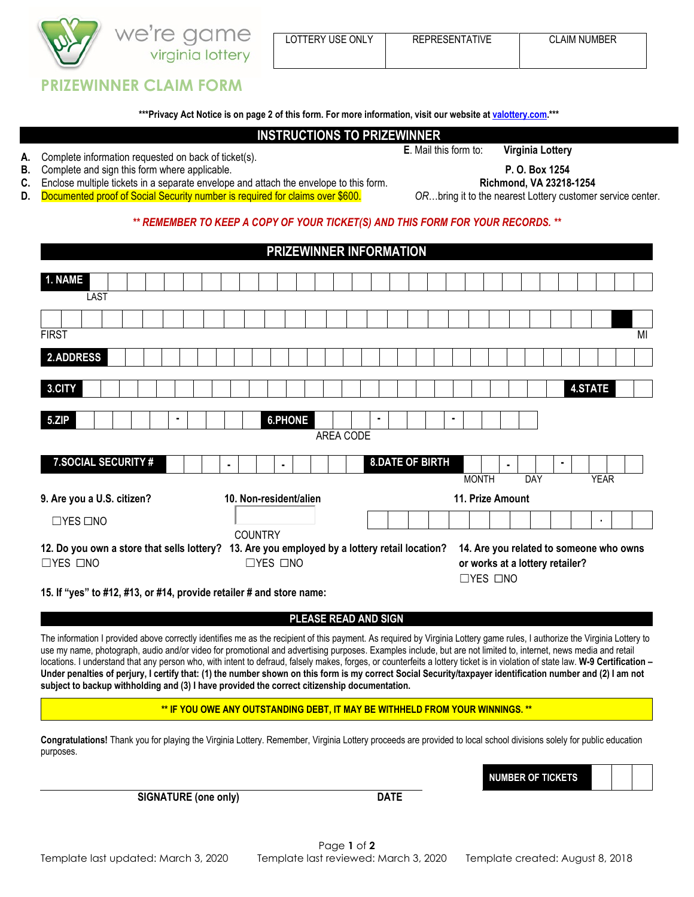

## **PRIZEWINNER CLAIM FORM**

**\*\*\*Privacy Act Notice is on page 2 of this form. For more information, visit our website a[t valottery.com.\\*](https://valottery.com/)\*\***

#### **INSTRUCTIONS TO PRIZEWINNER**

**A.** Complete information requested on back of ticket(s). **<sup>E</sup>**. Mail this form to: **Virginia Lottery**

**B.** Complete and sign this form where applicable. **P. O. Box 1254**

**C.** Enclose multiple tickets in a separate envelope and attach the envelope to this form. **Richmond, VA 23218-1254**

**D.** Documented proof of Social Security number is required for claims over \$600. *OR...bring it to the nearest Lottery customer service center.* 

#### *\*\* REMEMBER TO KEEP A COPY OF YOUR TICKET(S) AND THIS FORM FOR YOUR RECORDS. \*\**

# **PRIZEWINNER INFORMATION**

| 1. NAME                    |                                                                                                                                         |                        |                                                         |                                         |
|----------------------------|-----------------------------------------------------------------------------------------------------------------------------------------|------------------------|---------------------------------------------------------|-----------------------------------------|
| LAST                       |                                                                                                                                         |                        |                                                         |                                         |
|                            |                                                                                                                                         |                        |                                                         |                                         |
| <b>FIRST</b>               |                                                                                                                                         |                        |                                                         | MI                                      |
| <b>2.ADDRESS</b>           |                                                                                                                                         |                        |                                                         |                                         |
| 3.CITY                     |                                                                                                                                         |                        |                                                         | <b>4.STATE</b>                          |
| 5.ZIP                      | <b>6.PHONE</b><br>٠                                                                                                                     | ٠                      | ٠                                                       |                                         |
|                            |                                                                                                                                         | AREA CODE              |                                                         |                                         |
| 7.SOCIAL SECURITY #        | $\blacksquare$<br>٠                                                                                                                     | <b>8.DATE OF BIRTH</b> | $\blacksquare$                                          | $\blacksquare$                          |
|                            |                                                                                                                                         |                        | <b>MONTH</b><br><b>DAY</b>                              | <b>YEAR</b>                             |
| 9. Are you a U.S. citizen? | 10. Non-resident/alien                                                                                                                  |                        | 11. Prize Amount                                        |                                         |
| $\Box$ YES $\Box$ NO       |                                                                                                                                         |                        |                                                         | ٠                                       |
| $\Box$ YES $\Box$ NO       | <b>COUNTRY</b><br>12. Do you own a store that sells lottery? 13. Are you employed by a lottery retail location?<br>$\Box$ YES $\Box$ NO |                        | or works at a lottery retailer?<br>$\Box$ YES $\Box$ NO | 14. Are you related to someone who owns |

**15. If "yes" to #12, #13, or #14, provide retailer # and store name:**

#### **PLEASE READ AND SIGN**

The information I provided above correctly identifies me as the recipient of this payment. As required by Virginia Lottery game rules, I authorize the Virginia Lottery to use my name, photograph, audio and/or video for promotional and advertising purposes. Examples include, but are not limited to, internet, news media and retail locations. I understand that any person who, with intent to defraud, falsely makes, forges, or counterfeits a lottery ticket is in violation of state law. **W-9 Certification – Under penalties of perjury, I certify that: (1) the number shown on this form is my correct Social Security/taxpayer identification number and (2) I am not subject to backup withholding and (3) I have provided the correct citizenship documentation.**

**\*\* IF YOU OWE ANY OUTSTANDING DEBT, IT MAY BE WITHHELD FROM YOUR WINNINGS. \*\***

**Congratulations!** Thank you for playing the Virginia Lottery. Remember, Virginia Lottery proceeds are provided to local school divisions solely for public education purposes.

**NUMBER OF TICKETS**

**SIGNATURE (one only) DATE**